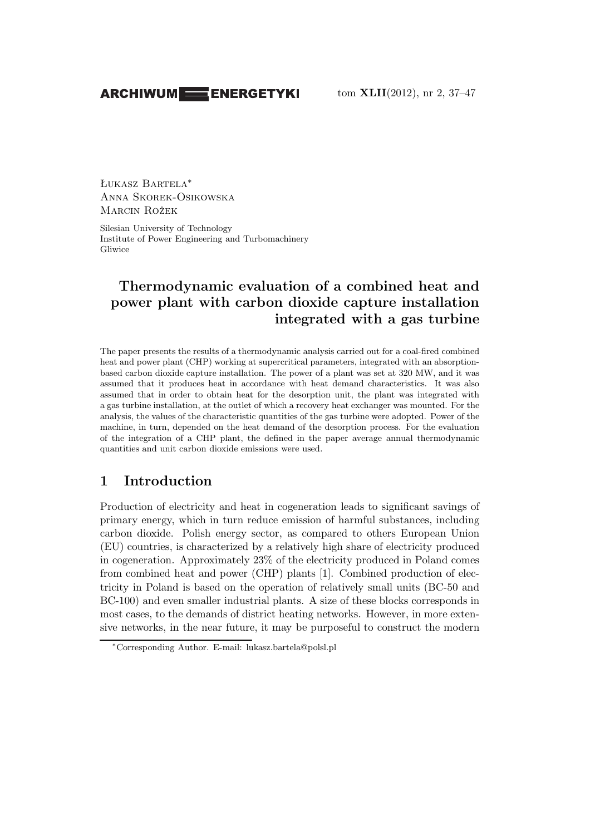### **ARCHIWUM EXERGETYKI**

Łukasz Bartela<sup>∗</sup> Anna Skorek-Osikowska Marcin Rożek

Silesian University of Technology Institute of Power Engineering and Turbomachinery Gliwice

# **Thermodynamic evaluation of a combined heat and power plant with carbon dioxide capture installation integrated with a gas turbine**

The paper presents the results of a thermodynamic analysis carried out for a coal-fired combined heat and power plant (CHP) working at supercritical parameters, integrated with an absorptionbased carbon dioxide capture installation. The power of a plant was set at 320 MW, and it was assumed that it produces heat in accordance with heat demand characteristics. It was also assumed that in order to obtain heat for the desorption unit, the plant was integrated with a gas turbine installation, at the outlet of which a recovery heat exchanger was mounted. For the analysis, the values of the characteristic quantities of the gas turbine were adopted. Power of the machine, in turn, depended on the heat demand of the desorption process. For the evaluation of the integration of a CHP plant, the defined in the paper average annual thermodynamic quantities and unit carbon dioxide emissions were used.

## **1 Introduction**

Production of electricity and heat in cogeneration leads to significant savings of primary energy, which in turn reduce emission of harmful substances, including carbon dioxide. Polish energy sector, as compared to others European Union (EU) countries, is characterized by a relatively high share of electricity produced in cogeneration. Approximately 23% of the electricity produced in Poland comes from combined heat and power (CHP) plants [1]. Combined production of electricity in Poland is based on the operation of relatively small units (BC-50 and BC-100) and even smaller industrial plants. A size of these blocks corresponds in most cases, to the demands of district heating networks. However, in more extensive networks, in the near future, it may be purposeful to construct the modern

<sup>∗</sup>Corresponding Author. E-mail: lukasz.bartela@polsl.pl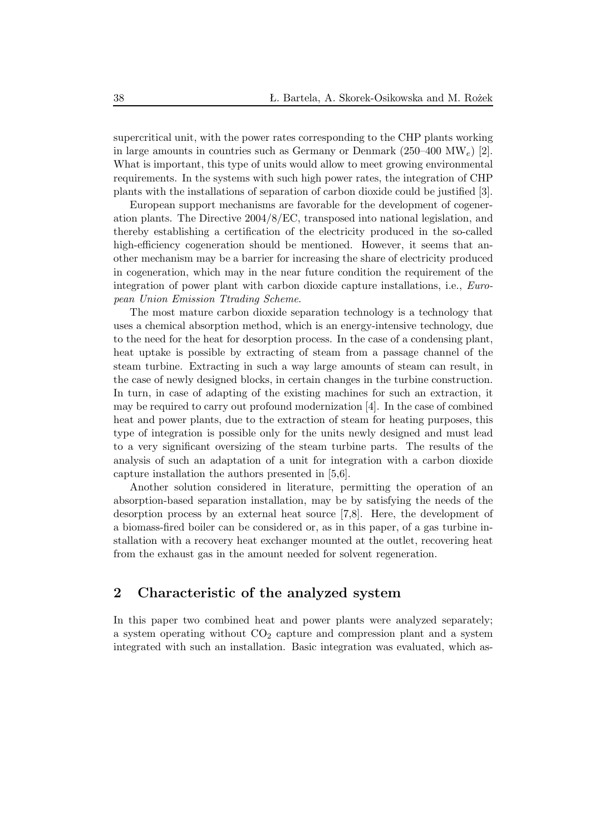supercritical unit, with the power rates corresponding to the CHP plants working in large amounts in countries such as Germany or Denmark (250–400 MW<sub>e</sub>) [2]. What is important, this type of units would allow to meet growing environmental requirements. In the systems with such high power rates, the integration of CHP plants with the installations of separation of carbon dioxide could be justified [3].

European support mechanisms are favorable for the development of cogeneration plants. The Directive 2004/8/EC, transposed into national legislation, and thereby establishing a certification of the electricity produced in the so-called high-efficiency cogeneration should be mentioned. However, it seems that another mechanism may be a barrier for increasing the share of electricity produced in cogeneration, which may in the near future condition the requirement of the integration of power plant with carbon dioxide capture installations, i.e., *European Union Emission Ttrading Scheme*.

The most mature carbon dioxide separation technology is a technology that uses a chemical absorption method, which is an energy-intensive technology, due to the need for the heat for desorption process. In the case of a condensing plant, heat uptake is possible by extracting of steam from a passage channel of the steam turbine. Extracting in such a way large amounts of steam can result, in the case of newly designed blocks, in certain changes in the turbine construction. In turn, in case of adapting of the existing machines for such an extraction, it may be required to carry out profound modernization [4]. In the case of combined heat and power plants, due to the extraction of steam for heating purposes, this type of integration is possible only for the units newly designed and must lead to a very significant oversizing of the steam turbine parts. The results of the analysis of such an adaptation of a unit for integration with a carbon dioxide capture installation the authors presented in [5,6].

Another solution considered in literature, permitting the operation of an absorption-based separation installation, may be by satisfying the needs of the desorption process by an external heat source [7,8]. Here, the development of a biomass-fired boiler can be considered or, as in this paper, of a gas turbine installation with a recovery heat exchanger mounted at the outlet, recovering heat from the exhaust gas in the amount needed for solvent regeneration.

### **2 Characteristic of the analyzed system**

In this paper two combined heat and power plants were analyzed separately; a system operating without  $CO<sub>2</sub>$  capture and compression plant and a system integrated with such an installation. Basic integration was evaluated, which as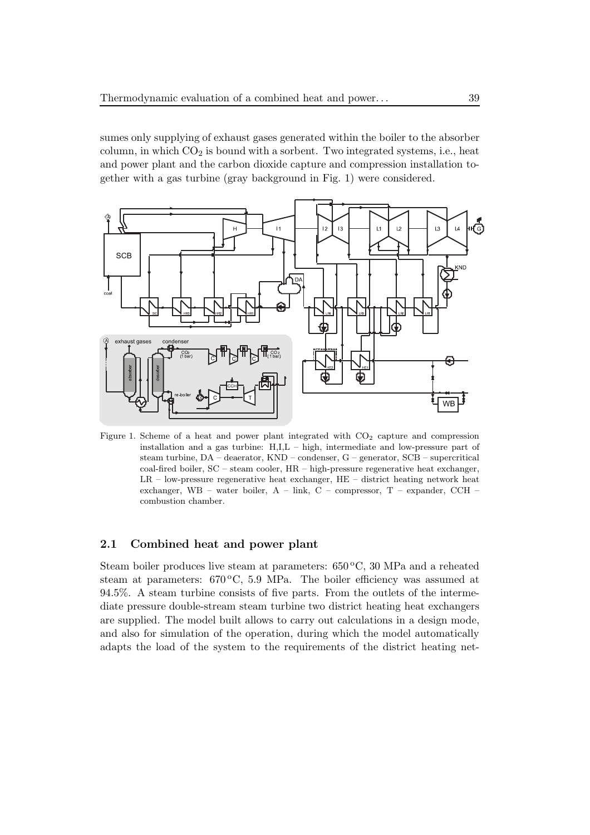sumes only supplying of exhaust gases generated within the boiler to the absorber column, in which  $CO<sub>2</sub>$  is bound with a sorbent. Two integrated systems, i.e., heat and power plant and the carbon dioxide capture and compression installation together with a gas turbine (gray background in Fig. 1) were considered.



Figure 1. Scheme of a heat and power plant integrated with  $CO<sub>2</sub>$  capture and compression installation and a gas turbine: H,I,L – high, intermediate and low-pressure part of steam turbine, DA – deaerator, KND – condenser, G – generator, SCB – supercritical coal-fired boiler, SC – steam cooler, HR – high-pressure regenerative heat exchanger, LR – low-pressure regenerative heat exchanger, HE – district heating network heat exchanger, WB – water boiler, A – link, C – compressor, T – expander, CCH – combustion chamber.

#### **2.1 Combined heat and power plant**

Steam boiler produces live steam at parameters:  $650\degree\text{C}$ , 30 MPa and a reheated steam at parameters:  $670\degree C$ , 5.9 MPa. The boiler efficiency was assumed at 94.5%. A steam turbine consists of five parts. From the outlets of the intermediate pressure double-stream steam turbine two district heating heat exchangers are supplied. The model built allows to carry out calculations in a design mode, and also for simulation of the operation, during which the model automatically adapts the load of the system to the requirements of the district heating net-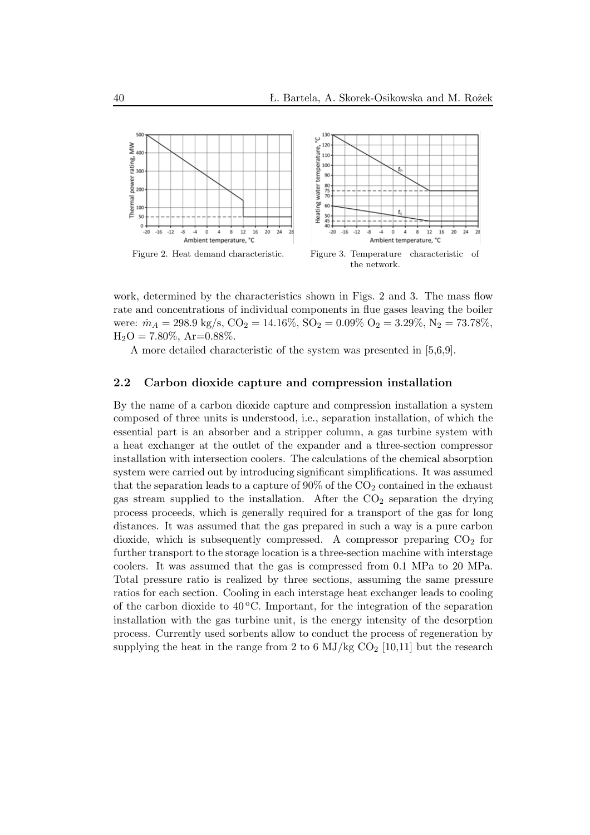

work, determined by the characteristics shown in Figs. 2 and 3. The mass flow rate and concentrations of individual components in flue gases leaving the boiler were:  $\dot{m}_A = 298.9 \text{ kg/s}, \text{CO}_2 = 14.16\%, \text{SO}_2 = 0.09\% \text{ O}_2 = 3.29\%, \text{N}_2 = 73.78\%,$  $H_2O = 7.80\%, Ar=0.88\%.$ 

A more detailed characteristic of the system was presented in [5,6,9].

#### **2.2 Carbon dioxide capture and compression installation**

By the name of a carbon dioxide capture and compression installation a system composed of three units is understood, i.e., separation installation, of which the essential part is an absorber and a stripper column, a gas turbine system with a heat exchanger at the outlet of the expander and a three-section compressor installation with intersection coolers. The calculations of the chemical absorption system were carried out by introducing significant simplifications. It was assumed that the separation leads to a capture of  $90\%$  of the  $CO<sub>2</sub>$  contained in the exhaust gas stream supplied to the installation. After the  $CO<sub>2</sub>$  separation the drying process proceeds, which is generally required for a transport of the gas for long distances. It was assumed that the gas prepared in such a way is a pure carbon dioxide, which is subsequently compressed. A compressor preparing  $CO<sub>2</sub>$  for further transport to the storage location is a three-section machine with interstage coolers. It was assumed that the gas is compressed from 0.1 MPa to 20 MPa. Total pressure ratio is realized by three sections, assuming the same pressure ratios for each section. Cooling in each interstage heat exchanger leads to cooling of the carbon dioxide to  $40^{\circ}$ C. Important, for the integration of the separation installation with the gas turbine unit, is the energy intensity of the desorption process. Currently used sorbents allow to conduct the process of regeneration by supplying the heat in the range from 2 to 6 MJ/kg  $CO<sub>2</sub>$  [10,11] but the research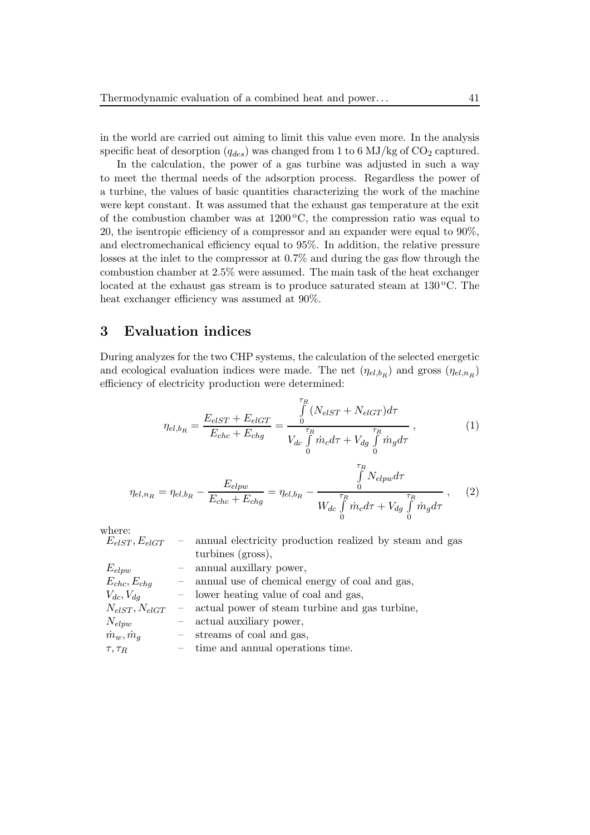in the world are carried out aiming to limit this value even more. In the analysis specific heat of desorption  $(q_{des})$  was changed from 1 to 6 MJ/kg of CO<sub>2</sub> captured.

In the calculation, the power of a gas turbine was adjusted in such a way to meet the thermal needs of the adsorption process. Regardless the power of a turbine, the values of basic quantities characterizing the work of the machine were kept constant. It was assumed that the exhaust gas temperature at the exit of the combustion chamber was at  $1200\degree\text{C}$ , the compression ratio was equal to 20, the isentropic efficiency of a compressor and an expander were equal to 90%, and electromechanical efficiency equal to 95%. In addition, the relative pressure losses at the inlet to the compressor at 0.7% and during the gas flow through the combustion chamber at 2.5% were assumed. The main task of the heat exchanger located at the exhaust gas stream is to produce saturated steam at  $130^{\circ}$ C. The heat exchanger efficiency was assumed at 90%.

### **3 Evaluation indices**

During analyzes for the two CHP systems, the calculation of the selected energetic and ecological evaluation indices were made. The net  $(\eta_{el,b_R})$  and gross  $(\eta_{el,n_R})$ efficiency of electricity production were determined:

$$
\eta_{el,b_R} = \frac{E_{elST} + E_{elGT}}{E_{chc} + E_{chg}} = \frac{\int\limits_{0}^{\tau_R} (N_{elST} + N_{elGT}) d\tau}{V_{dc} \int\limits_{0}^{\tau_R} \dot{m}_c d\tau + V_{dg} \int\limits_{0}^{\tau_R} \dot{m}_g d\tau},
$$
\n(1)

$$
\eta_{el,n_R} = \eta_{el,b_R} - \frac{E_{elpw}}{E_{chc} + E_{chg}} = \eta_{el,b_R} - \frac{\int_{0}^{\tau_R} N_{elpw} d\tau}{W_{dc} \int_{0}^{\tau_R} \dot{m}_c d\tau + V_{dg} \int_{0}^{\tau_R} \dot{m}_g d\tau}, \quad (2)
$$

where:

| $E_{elST}, E_{elGT}$   |                          | - annual electricity production realized by steam and gas |
|------------------------|--------------------------|-----------------------------------------------------------|
|                        |                          | turbines (gross),                                         |
| $E_{elpw}$             | $\overline{\phantom{m}}$ | annual auxillary power,                                   |
| $E_{chc}, E_{chq}$     |                          | - annual use of chemical energy of coal and gas,          |
| $V_{dc}, V_{dq}$       |                          | - lower heating value of coal and gas,                    |
| $N_{elST}, N_{elGT}$   | $\overline{\phantom{m}}$ | actual power of steam turbine and gas turbine,            |
| $N_{elpw}$             |                          | - actual auxiliary power,                                 |
| $\dot{m}_w, \dot{m}_q$ |                          | - streams of coal and gas,                                |
| $\tau, \tau_R$         |                          | $-$ time and annual operations time.                      |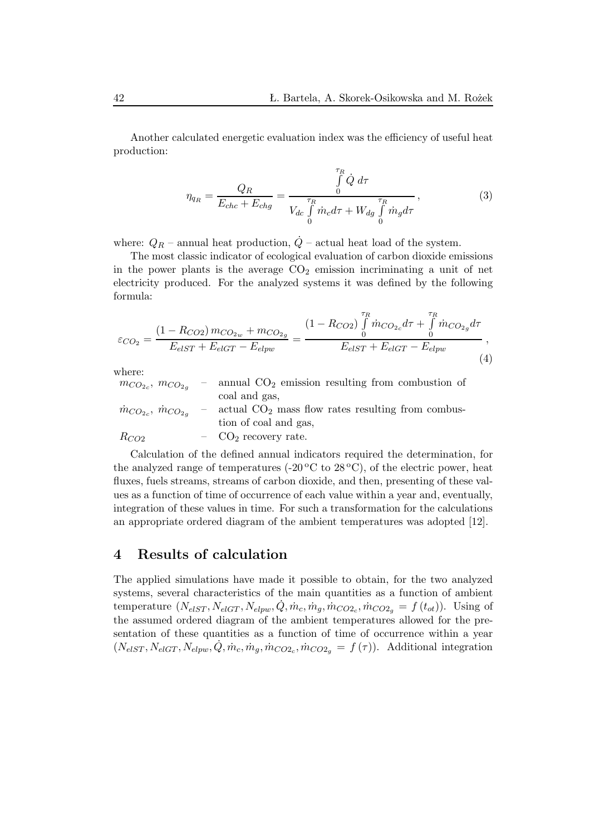Another calculated energetic evaluation index was the efficiency of useful heat production:

$$
\eta_{q_R} = \frac{Q_R}{E_{chc} + E_{chg}} = \frac{\int_{0}^{\tau_R} \dot{Q} \, d\tau}{V_{dc} \int_{0}^{\tau_R} \dot{m}_c d\tau + W_{dg} \int_{0}^{\tau_R} \dot{m}_g d\tau},\tag{3}
$$

where:  $Q_R$  – annual heat production,  $\dot{Q}$  – actual heat load of the system.

The most classic indicator of ecological evaluation of carbon dioxide emissions in the power plants is the average  $CO<sub>2</sub>$  emission incriminating a unit of net electricity produced. For the analyzed systems it was defined by the following formula:

$$
\varepsilon_{CO_2} = \frac{(1 - R_{CO2}) m_{CO_{2w}} + m_{CO_{2g}}}{E_{elST} + E_{elGT} - E_{elpw}} = \frac{(1 - R_{CO2}) \int_0^{\tau_R} \dot{m}_{CO_{2c}} d\tau + \int_0^{\tau_R} \dot{m}_{CO_{2g}} d\tau}{E_{elST} + E_{elGT} - E_{elpw}},
$$
\n(4)

where:

| $m_{CO_{2c}}$ , $m_{CO_{2g}}$ | annual $CO2$ emission resulting from combustion of  |
|-------------------------------|-----------------------------------------------------|
|                               | coal and gas,                                       |
| $m_{CO_{2c}}$ , $m_{CO_{2a}}$ | actual $CO2$ mass flow rates resulting from combus- |
|                               | tion of coal and gas,                               |
| $R_{CO2}$                     | $-$ CO <sub>2</sub> recovery rate.                  |

Calculation of the defined annual indicators required the determination, for the analyzed range of temperatures  $(-20\degree C \text{ to } 28\degree C)$ , of the electric power, heat fluxes, fuels streams, streams of carbon dioxide, and then, presenting of these values as a function of time of occurrence of each value within a year and, eventually, integration of these values in time. For such a transformation for the calculations an appropriate ordered diagram of the ambient temperatures was adopted [12].

#### **4 Results of calculation**

The applied simulations have made it possible to obtain, for the two analyzed systems, several characteristics of the main quantities as a function of ambient temperature  $(N_{elST}, N_{elGT}, N_{elpw}, \dot{Q}, \dot{m}_c, \dot{m}_g, \dot{m}_{CO2_c}, \dot{m}_{CO2_g} = f(t_{ot})$ ). Using of the assumed ordered diagram of the ambient temperatures allowed for the presentation of these quantities as a function of time of occurrence within a year  $(N_{elST}, N_{elGT}, N_{elpw}, \dot{Q}, \dot{m}_c, \dot{m}_g, \dot{m}_{CO2_c}, \dot{m}_{CO2_g} = f(\tau)).$  Additional integration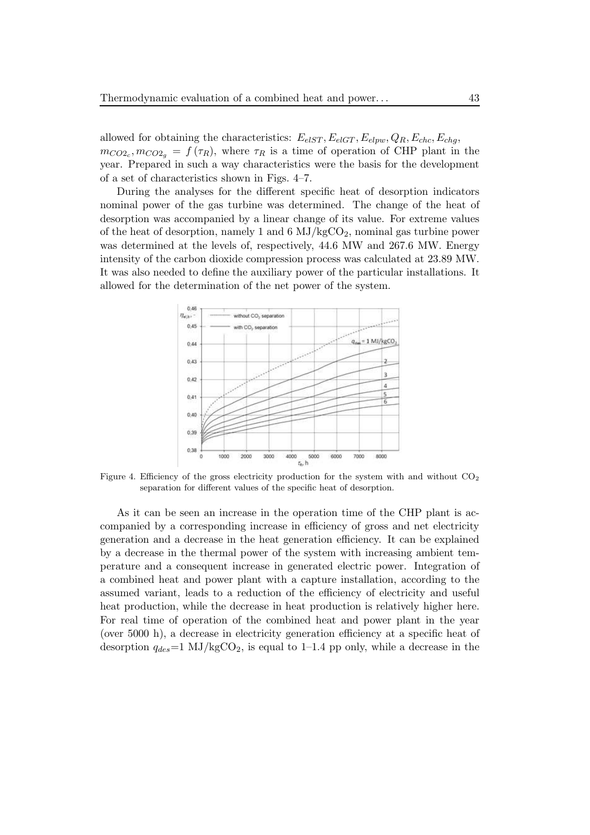allowed for obtaining the characteristics:  $E_{elST}$ ,  $E_{elGT}$ ,  $E_{elpw}$ ,  $Q_R$ ,  $E_{chc}$ ,  $E_{chq}$ ,  $m_{CO2_c}, m_{CO2_g} = f(\tau_R)$ , where  $\tau_R$  is a time of operation of CHP plant in the year. Prepared in such a way characteristics were the basis for the development of a set of characteristics shown in Figs. 4–7.

During the analyses for the different specific heat of desorption indicators nominal power of the gas turbine was determined. The change of the heat of desorption was accompanied by a linear change of its value. For extreme values of the heat of desorption, namely 1 and  $6 \text{ MJ/kgCO}_2$ , nominal gas turbine power was determined at the levels of, respectively, 44.6 MW and 267.6 MW. Energy intensity of the carbon dioxide compression process was calculated at 23.89 MW. It was also needed to define the auxiliary power of the particular installations. It allowed for the determination of the net power of the system.



Figure 4. Efficiency of the gross electricity production for the system with and without CO<sub>2</sub> separation for different values of the specific heat of desorption.

As it can be seen an increase in the operation time of the CHP plant is accompanied by a corresponding increase in efficiency of gross and net electricity generation and a decrease in the heat generation efficiency. It can be explained by a decrease in the thermal power of the system with increasing ambient temperature and a consequent increase in generated electric power. Integration of a combined heat and power plant with a capture installation, according to the assumed variant, leads to a reduction of the efficiency of electricity and useful heat production, while the decrease in heat production is relatively higher here. For real time of operation of the combined heat and power plant in the year (over 5000 h), a decrease in electricity generation efficiency at a specific heat of desorption  $q_{des}=1$  MJ/kgCO<sub>2</sub>, is equal to 1–1.4 pp only, while a decrease in the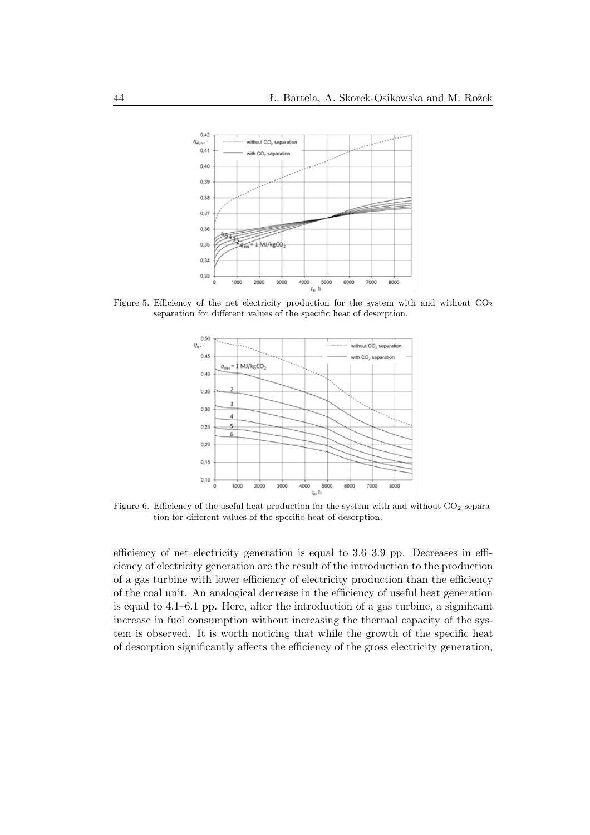

Figure 5. Efficiency of the net electricity production for the system with and without  $CO<sub>2</sub>$ separation for different values of the specific heat of desorption.



Figure 6. Efficiency of the useful heat production for the system with and without  $CO<sub>2</sub>$  separation for different values of the specific heat of desorption.

efficiency of net electricity generation is equal to 3.6–3.9 pp. Decreases in efficiency of electricity generation are the result of the introduction to the production of a gas turbine with lower efficiency of electricity production than the efficiency of the coal unit. An analogical decrease in the efficiency of useful heat generation is equal to 4.1–6.1 pp. Here, after the introduction of a gas turbine, a significant increase in fuel consumption without increasing the thermal capacity of the system is observed. It is worth noticing that while the growth of the specific heat of desorption significantly affects the efficiency of the gross electricity generation,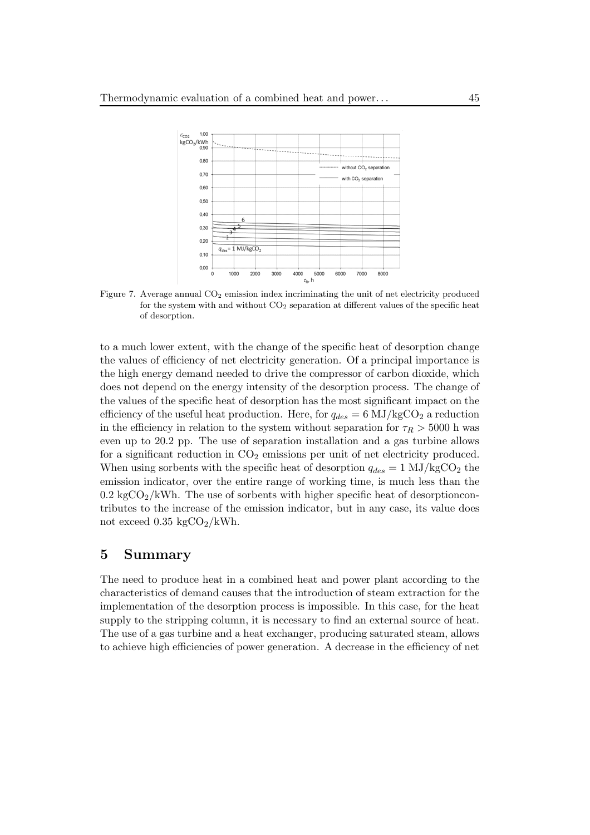

Figure 7. Average annual  $CO<sub>2</sub>$  emission index incriminating the unit of net electricity produced for the system with and without  $CO<sub>2</sub>$  separation at different values of the specific heat of desorption.

to a much lower extent, with the change of the specific heat of desorption change the values of efficiency of net electricity generation. Of a principal importance is the high energy demand needed to drive the compressor of carbon dioxide, which does not depend on the energy intensity of the desorption process. The change of the values of the specific heat of desorption has the most significant impact on the efficiency of the useful heat production. Here, for  $q_{des} = 6 \text{ MJ/kgCO}_2$  a reduction in the efficiency in relation to the system without separation for  $\tau_R > 5000$  h was even up to 20.2 pp. The use of separation installation and a gas turbine allows for a significant reduction in  $CO<sub>2</sub>$  emissions per unit of net electricity produced. When using sorbents with the specific heat of desorption  $q_{des} = 1$  MJ/kgCO<sub>2</sub> the emission indicator, over the entire range of working time, is much less than the  $0.2 \text{ kgCO}_2/\text{kWh}$ . The use of sorbents with higher specific heat of desorptioncontributes to the increase of the emission indicator, but in any case, its value does not exceed  $0.35 \text{ kgCO}_2/\text{kWh}$ .

#### **5 Summary**

The need to produce heat in a combined heat and power plant according to the characteristics of demand causes that the introduction of steam extraction for the implementation of the desorption process is impossible. In this case, for the heat supply to the stripping column, it is necessary to find an external source of heat. The use of a gas turbine and a heat exchanger, producing saturated steam, allows to achieve high efficiencies of power generation. A decrease in the efficiency of net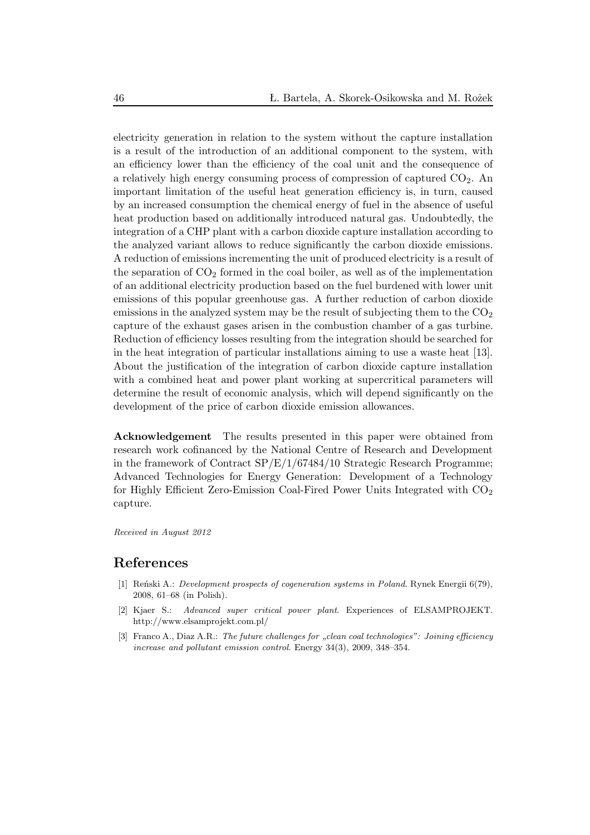electricity generation in relation to the system without the capture installation is a result of the introduction of an additional component to the system, with an efficiency lower than the efficiency of the coal unit and the consequence of a relatively high energy consuming process of compression of captured  $CO<sub>2</sub>$ . An important limitation of the useful heat generation efficiency is, in turn, caused by an increased consumption the chemical energy of fuel in the absence of useful heat production based on additionally introduced natural gas. Undoubtedly, the integration of a CHP plant with a carbon dioxide capture installation according to the analyzed variant allows to reduce significantly the carbon dioxide emissions. A reduction of emissions incrementing the unit of produced electricity is a result of the separation of  $CO<sub>2</sub>$  formed in the coal boiler, as well as of the implementation of an additional electricity production based on the fuel burdened with lower unit emissions of this popular greenhouse gas. A further reduction of carbon dioxide emissions in the analyzed system may be the result of subjecting them to the  $CO<sub>2</sub>$ capture of the exhaust gases arisen in the combustion chamber of a gas turbine. Reduction of efficiency losses resulting from the integration should be searched for in the heat integration of particular installations aiming to use a waste heat [13]. About the justification of the integration of carbon dioxide capture installation with a combined heat and power plant working at supercritical parameters will determine the result of economic analysis, which will depend significantly on the development of the price of carbon dioxide emission allowances.

**Acknowledgement** The results presented in this paper were obtained from research work cofinanced by the National Centre of Research and Development in the framework of Contract  $SP/E/1/67484/10$  Strategic Research Programme; Advanced Technologies for Energy Generation: Development of a Technology for Highly Efficient Zero-Emission Coal-Fired Power Units Integrated with  $CO<sub>2</sub>$ capture.

*Received in August 2012*

#### **References**

- [1] Reński A.: *Development prospects of cogeneration systems in Poland*. Rynek Energii 6(79), 2008, 61–68 (in Polish).
- [2] Kjaer S.: *Advanced super critical power plant*. Experiences of ELSAMPROJEKT. http://www.elsamprojekt.com.pl/
- [3] Franco A., Diaz A.R.: *The future challenges for "clean coal technologies": Joining efficiency increase and pollutant emission control*. Energy 34(3), 2009, 348–354.